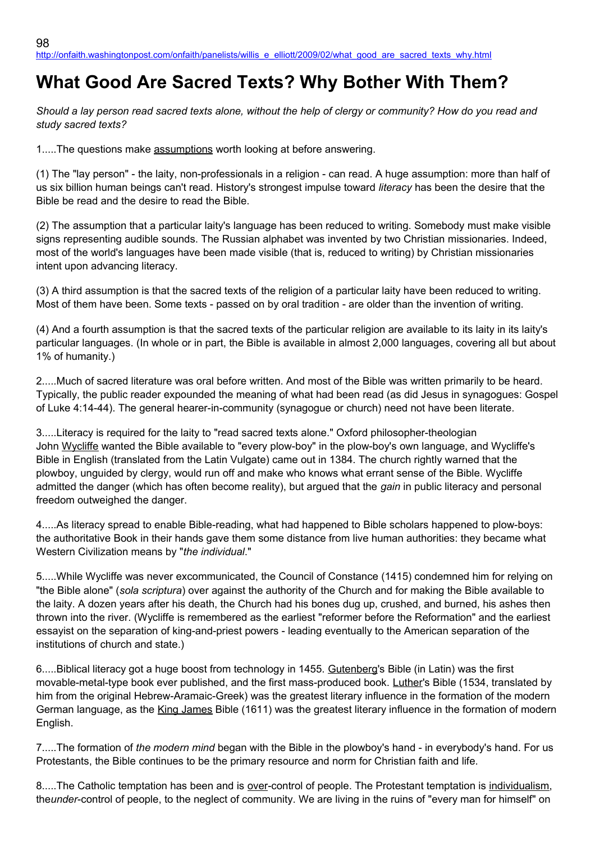## **What Good Are Sacred Texts? Why Bother With Them?**

*Should a lay person read sacred texts alone, without the help of clergy or community? How do you read and study sacred texts?*

1.....The questions make assumptions worth looking at before answering.

(1) The "lay person" - the laity, non-professionals in a religion - can read. A huge assumption: more than half of us six billion human beings can't read. History's strongest impulse toward *literacy* has been the desire that the Bible be read and the desire to read the Bible.

(2) The assumption that a particular laity's language has been reduced to writing. Somebody must make visible signs representing audible sounds. The Russian alphabet was invented by two Christian missionaries. Indeed, most of the world's languages have been made visible (that is, reduced to writing) by Christian missionaries intent upon advancing literacy.

(3) A third assumption is that the sacred texts of the religion of a particular laity have been reduced to writing. Most of them have been. Some texts - passed on by oral tradition - are older than the invention of writing.

(4) And a fourth assumption is that the sacred texts of the particular religion are available to its laity in its laity's particular languages. (In whole or in part, the Bible is available in almost 2,000 languages, covering all but about 1% of humanity.)

2.....Much of sacred literature was oral before written. And most of the Bible was written primarily to be heard. Typically, the public reader expounded the meaning of what had been read (as did Jesus in synagogues: Gospel of Luke 4:14-44). The general hearer-in-community (synagogue or church) need not have been literate.

3.....Literacy is required for the laity to "read sacred texts alone." Oxford philosopher-theologian John Wycliffe wanted the Bible available to "every plow-boy" in the plow-boy's own language, and Wycliffe's Bible in English (translated from the Latin Vulgate) came out in 1384. The church rightly warned that the plowboy, unguided by clergy, would run off and make who knows what errant sense of the Bible. Wycliffe admitted the danger (which has often become reality), but argued that the *gain* in public literacy and personal freedom outweighed the danger.

4.....As literacy spread to enable Bible-reading, what had happened to Bible scholars happened to plow-boys: the authoritative Book in their hands gave them some distance from live human authorities: they became what Western Civilization means by "*the individual*."

5.....While Wycliffe was never excommunicated, the Council of Constance (1415) condemned him for relying on "the Bible alone" (*sola scriptura*) over against the authority of the Church and for making the Bible available to the laity. A dozen years after his death, the Church had his bones dug up, crushed, and burned, his ashes then thrown into the river. (Wycliffe is remembered as the earliest "reformer before the Reformation" and the earliest essayist on the separation of king-and-priest powers - leading eventually to the American separation of the institutions of church and state.)

6.....Biblical literacy got a huge boost from technology in 1455. Gutenberg's Bible (in Latin) was the first movable-metal-type book ever published, and the first mass-produced book. Luther's Bible (1534, translated by him from the original Hebrew-Aramaic-Greek) was the greatest literary influence in the formation of the modern German language, as the King James Bible (1611) was the greatest literary influence in the formation of modern English.

7.....The formation of *the modern mind* began with the Bible in the plowboy's hand - in everybody's hand. For us Protestants, the Bible continues to be the primary resource and norm for Christian faith and life.

8.....The Catholic temptation has been and is over-control of people. The Protestant temptation is individualism, the*under*-control of people, to the neglect of community. We are living in the ruins of "every man for himself" on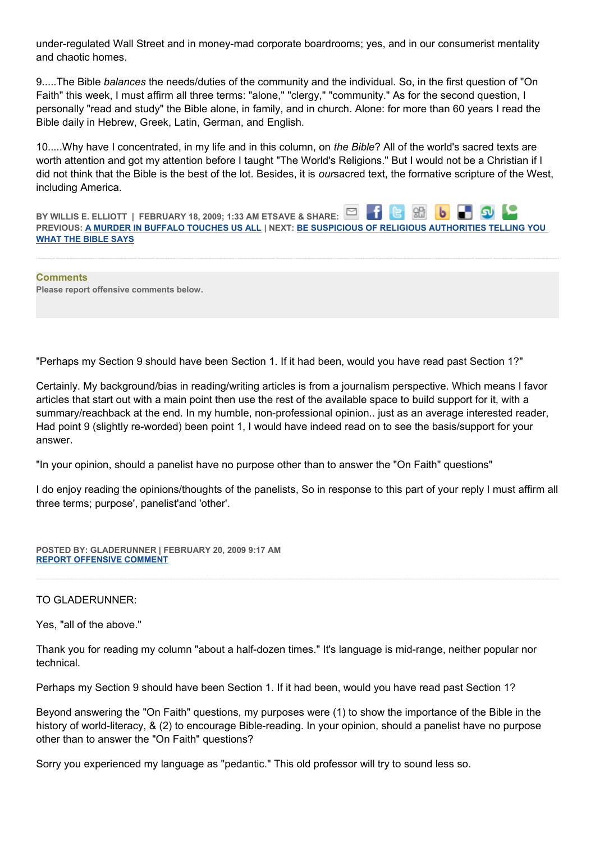under-regulated Wall Street and in money-mad corporate boardrooms; yes, and in our consumerist mentality and chaotic homes.

9.....The Bible *balances* the needs/duties of the community and the individual. So, in the first question of "On Faith" this week, I must affirm all three terms: "alone," "clergy," "community." As for the second question, I personally "read and study" the Bible alone, in family, and in church. Alone: for more than 60 years I read the Bible daily in Hebrew, Greek, Latin, German, and English.

10.....Why have I concentrated, in my life and in this column, on *the Bible*? All of the world's sacred texts are worth attention and got my attention before I taught "The World's Religions." But I would not be a Christian if I did not think that the Bible is the best of the lot. Besides, it is *our*sacred text, the formative scripture of the West, including America.

**BY WILLIS E. ELLIOTT | FEBRUARY 18, 2009; 1:33 AM ETSAVE & SHARE:** 86 **PREVIOUS: [A MURDER IN BUFFALO TOUCHES US ALL](http://onfaith.washingtonpost.com/onfaith/panelists/brad_hirschfield/2009/02/a_murder_in_buffalo_touches_us.html) | NEXT: [BE SUSPICIOUS OF RELIGIOUS AUTHORITIES TELLING YOU](http://onfaith.washingtonpost.com/onfaith/panelists/susan_brooks_thistlethwaite/2009/02/be_suspicious_of_religious_aut.html)  [WHAT THE BIBLE SAYS](http://onfaith.washingtonpost.com/onfaith/panelists/susan_brooks_thistlethwaite/2009/02/be_suspicious_of_religious_aut.html)**

**Comments Please report offensive comments below.**

"Perhaps my Section 9 should have been Section 1. If it had been, would you have read past Section 1?"

Certainly. My background/bias in reading/writing articles is from a journalism perspective. Which means I favor articles that start out with a main point then use the rest of the available space to build support for it, with a summary/reachback at the end. In my humble, non-professional opinion.. just as an average interested reader, Had point 9 (slightly re-worded) been point 1, I would have indeed read on to see the basis/support for your answer.

"In your opinion, should a panelist have no purpose other than to answer the "On Faith" questions"

I do enjoy reading the opinions/thoughts of the panelists, So in response to this part of your reply I must affirm all three terms; purpose', panelist'and 'other'.

**POSTED BY: GLADERUNNER | FEBRUARY 20, 2009 9:17 AM [REPORT OFFENSIVE COMMENT](mailto:blogs@washingtonpost.com?subject=On%20Faith%20Panelists%20Blog%20%20%7C%20%20gladerunner%20%20%7C%20%20What%20Good%20Are%20Sacred%20Texts?%20%20Why%20Bother%20With%20Them?%20%20%7C%20%204602140&body=%0D%0D%0D%0D%0D================%0D?__mode=view%26_type=comment%26id=4602140%26blog_id=618)**

## TO GLADERUNNER:

Yes, "all of the above."

Thank you for reading my column "about a half-dozen times." It's language is mid-range, neither popular nor technical.

Perhaps my Section 9 should have been Section 1. If it had been, would you have read past Section 1?

Beyond answering the "On Faith" questions, my purposes were (1) to show the importance of the Bible in the history of world-literacy, & (2) to encourage Bible-reading. In your opinion, should a panelist have no purpose other than to answer the "On Faith" questions?

Sorry you experienced my language as "pedantic." This old professor will try to sound less so.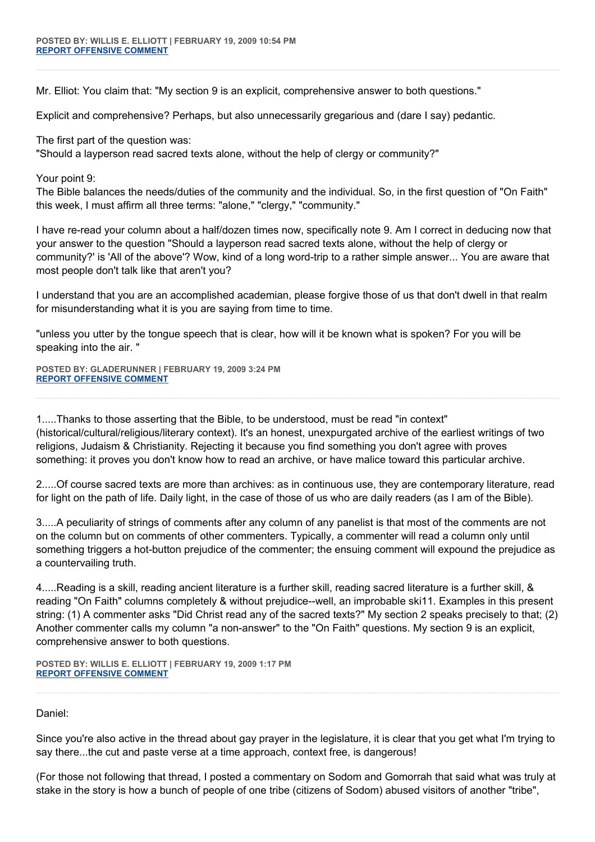Mr. Elliot: You claim that: "My section 9 is an explicit, comprehensive answer to both questions."

Explicit and comprehensive? Perhaps, but also unnecessarily gregarious and (dare I say) pedantic.

The first part of the question was:

"Should a layperson read sacred texts alone, without the help of clergy or community?"

Your point 9:

The Bible balances the needs/duties of the community and the individual. So, in the first question of "On Faith" this week, I must affirm all three terms: "alone," "clergy," "community."

I have re-read your column about a half/dozen times now, specifically note 9. Am I correct in deducing now that your answer to the question "Should a layperson read sacred texts alone, without the help of clergy or community?' is 'All of the above'? Wow, kind of a long word-trip to a rather simple answer... You are aware that most people don't talk like that aren't you?

I understand that you are an accomplished academian, please forgive those of us that don't dwell in that realm for misunderstanding what it is you are saying from time to time.

"unless you utter by the tongue speech that is clear, how will it be known what is spoken? For you will be speaking into the air. "

**POSTED BY: GLADERUNNER | FEBRUARY 19, 2009 3:24 PM [REPORT OFFENSIVE COMMENT](mailto:blogs@washingtonpost.com?subject=On%20Faith%20Panelists%20Blog%20%20%7C%20%20gladerunner%20%20%7C%20%20What%20Good%20Are%20Sacred%20Texts?%20%20Why%20Bother%20With%20Them?%20%20%7C%20%204601983&body=%0D%0D%0D%0D%0D================%0D?__mode=view%26_type=comment%26id=4601983%26blog_id=618)**

1.....Thanks to those asserting that the Bible, to be understood, must be read "in context" (historical/cultural/religious/literary context). It's an honest, unexpurgated archive of the earliest writings of two religions, Judaism & Christianity. Rejecting it because you find something you don't agree with proves something: it proves you don't know how to read an archive, or have malice toward this particular archive.

2.....Of course sacred texts are more than archives: as in continuous use, they are contemporary literature, read for light on the path of life. Daily light, in the case of those of us who are daily readers (as I am of the Bible).

3.....A peculiarity of strings of comments after any column of any panelist is that most of the comments are not on the column but on comments of other commenters. Typically, a commenter will read a column only until something triggers a hot-button prejudice of the commenter; the ensuing comment will expound the prejudice as a countervailing truth.

4.....Reading is a skill, reading ancient literature is a further skill, reading sacred literature is a further skill, & reading "On Faith" columns completely & without prejudice--well, an improbable ski11. Examples in this present string: (1) A commenter asks "Did Christ read any of the sacred texts?" My section 2 speaks precisely to that; (2) Another commenter calls my column "a non-answer" to the "On Faith" questions. My section 9 is an explicit, comprehensive answer to both questions.

**POSTED BY: WILLIS E. ELLIOTT | FEBRUARY 19, 2009 1:17 PM [REPORT OFFENSIVE COMMENT](mailto:blogs@washingtonpost.com?subject=On%20Faith%20Panelists%20Blog%20%20%7C%20%20Willis%20E.%20Elliott%20%20%7C%20%20What%20Good%20Are%20Sacred%20Texts?%20%20Why%20Bother%20With%20Them?%20%20%7C%20%204601951&body=%0D%0D%0D%0D%0D================%0D?__mode=view%26_type=comment%26id=4601951%26blog_id=618)**

Daniel:

Since you're also active in the thread about gay prayer in the legislature, it is clear that you get what I'm trying to say there...the cut and paste verse at a time approach, context free, is dangerous!

(For those not following that thread, I posted a commentary on Sodom and Gomorrah that said what was truly at stake in the story is how a bunch of people of one tribe (citizens of Sodom) abused visitors of another "tribe",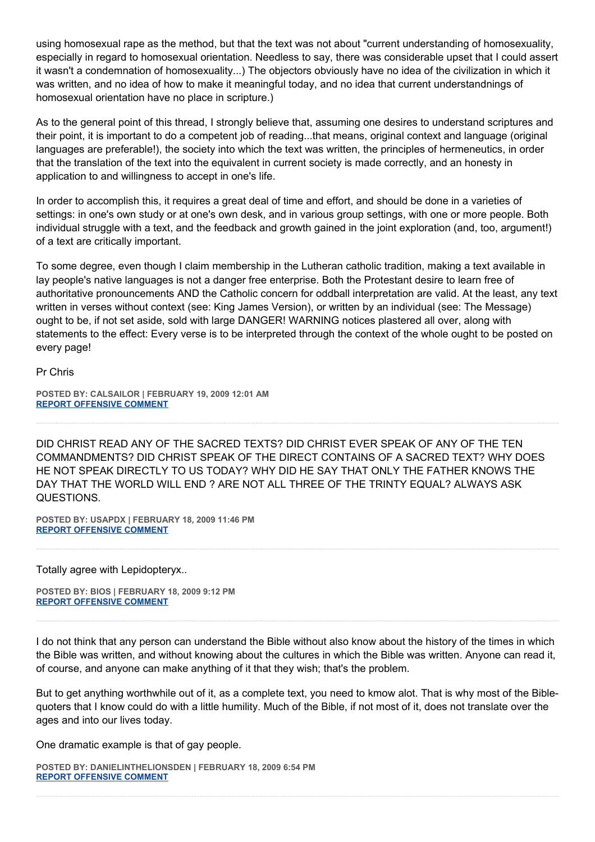using homosexual rape as the method, but that the text was not about "current understanding of homosexuality, especially in regard to homosexual orientation. Needless to say, there was considerable upset that I could assert it wasn't a condemnation of homosexuality...) The objectors obviously have no idea of the civilization in which it was written, and no idea of how to make it meaningful today, and no idea that current understandnings of homosexual orientation have no place in scripture.)

As to the general point of this thread, I strongly believe that, assuming one desires to understand scriptures and their point, it is important to do a competent job of reading...that means, original context and language (original languages are preferable!), the society into which the text was written, the principles of hermeneutics, in order that the translation of the text into the equivalent in current society is made correctly, and an honesty in application to and willingness to accept in one's life.

In order to accomplish this, it requires a great deal of time and effort, and should be done in a varieties of settings: in one's own study or at one's own desk, and in various group settings, with one or more people. Both individual struggle with a text, and the feedback and growth gained in the joint exploration (and, too, argument!) of a text are critically important.

To some degree, even though I claim membership in the Lutheran catholic tradition, making a text available in lay people's native languages is not a danger free enterprise. Both the Protestant desire to learn free of authoritative pronouncements AND the Catholic concern for oddball interpretation are valid. At the least, any text written in verses without context (see: King James Version), or written by an individual (see: The Message) ought to be, if not set aside, sold with large DANGER! WARNING notices plastered all over, along with statements to the effect: Every verse is to be interpreted through the context of the whole ought to be posted on every page!

Pr Chris

**POSTED BY: CALSAILOR | FEBRUARY 19, 2009 12:01 AM [REPORT OFFENSIVE COMMENT](mailto:blogs@washingtonpost.com?subject=On%20Faith%20Panelists%20Blog%20%20%7C%20%20CalSailor%20%20%7C%20%20What%20Good%20Are%20Sacred%20Texts?%20%20Why%20Bother%20With%20Them?%20%20%7C%20%204601825&body=%0D%0D%0D%0D%0D================%0D?__mode=view%26_type=comment%26id=4601825%26blog_id=618)**

DID CHRIST READ ANY OF THE SACRED TEXTS? DID CHRIST EVER SPEAK OF ANY OF THE TEN COMMANDMENTS? DID CHRIST SPEAK OF THE DIRECT CONTAINS OF A SACRED TEXT? WHY DOES HE NOT SPEAK DIRECTLY TO US TODAY? WHY DID HE SAY THAT ONLY THE FATHER KNOWS THE DAY THAT THE WORLD WILL END ? ARE NOT ALL THREE OF THE TRINTY EQUAL? ALWAYS ASK QUESTIONS.

**POSTED BY: USAPDX | FEBRUARY 18, 2009 11:46 PM [REPORT OFFENSIVE COMMENT](mailto:blogs@washingtonpost.com?subject=On%20Faith%20Panelists%20Blog%20%20%7C%20%20usapdx%20%20%7C%20%20What%20Good%20Are%20Sacred%20Texts?%20%20Why%20Bother%20With%20Them?%20%20%7C%20%204601819&body=%0D%0D%0D%0D%0D================%0D?__mode=view%26_type=comment%26id=4601819%26blog_id=618)**

Totally agree with Lepidopteryx..

**POSTED BY: BIOS | FEBRUARY 18, 2009 9:12 PM [REPORT OFFENSIVE COMMENT](mailto:blogs@washingtonpost.com?subject=On%20Faith%20Panelists%20Blog%20%20%7C%20%20Bios%20%20%7C%20%20What%20Good%20Are%20Sacred%20Texts?%20%20Why%20Bother%20With%20Them?%20%20%7C%20%204601776&body=%0D%0D%0D%0D%0D================%0D?__mode=view%26_type=comment%26id=4601776%26blog_id=618)**

I do not think that any person can understand the Bible without also know about the history of the times in which the Bible was written, and without knowing about the cultures in which the Bible was written. Anyone can read it, of course, and anyone can make anything of it that they wish; that's the problem.

But to get anything worthwhile out of it, as a complete text, you need to kmow alot. That is why most of the Biblequoters that I know could do with a little humility. Much of the Bible, if not most of it, does not translate over the ages and into our lives today.

One dramatic example is that of gay people.

**POSTED BY: DANIELINTHELIONSDEN | FEBRUARY 18, 2009 6:54 PM [REPORT OFFENSIVE COMMENT](mailto:blogs@washingtonpost.com?subject=On%20Faith%20Panelists%20Blog%20%20%7C%20%20DanielintheLionsDen%20%20%7C%20%20What%20Good%20Are%20Sacred%20Texts?%20%20Why%20Bother%20With%20Them?%20%20%7C%20%204601731&body=%0D%0D%0D%0D%0D================%0D?__mode=view%26_type=comment%26id=4601731%26blog_id=618)**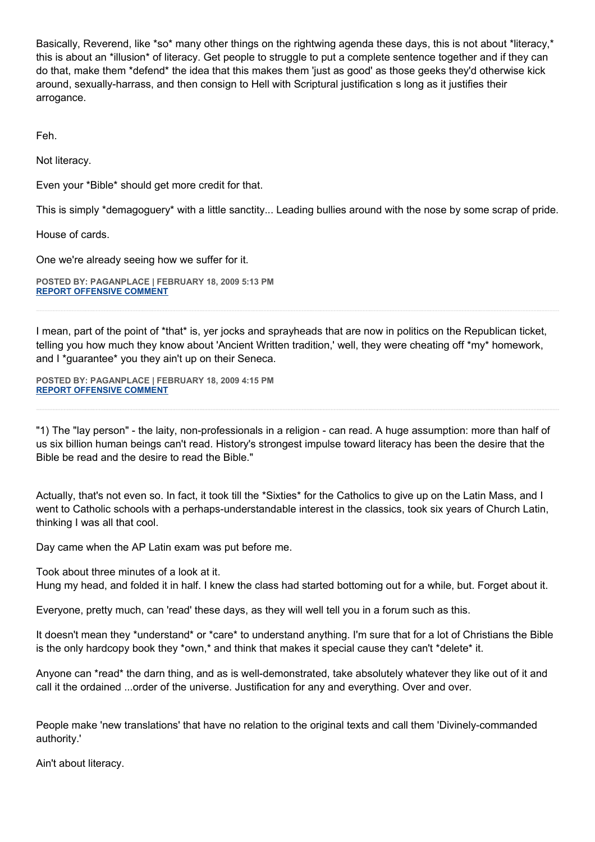Basically, Reverend, like \*so\* many other things on the rightwing agenda these days, this is not about \*literacy,\* this is about an \*illusion\* of literacy. Get people to struggle to put a complete sentence together and if they can do that, make them \*defend\* the idea that this makes them 'just as good' as those geeks they'd otherwise kick around, sexually-harrass, and then consign to Hell with Scriptural justification s long as it justifies their arrogance.

Feh.

Not literacy.

Even your \*Bible\* should get more credit for that.

This is simply \*demagoguery\* with a little sanctity... Leading bullies around with the nose by some scrap of pride.

House of cards.

One we're already seeing how we suffer for it.

**POSTED BY: PAGANPLACE | FEBRUARY 18, 2009 5:13 PM [REPORT OFFENSIVE COMMENT](mailto:blogs@washingtonpost.com?subject=On%20Faith%20Panelists%20Blog%20%20%7C%20%20Paganplace%20%20%7C%20%20What%20Good%20Are%20Sacred%20Texts?%20%20Why%20Bother%20With%20Them?%20%20%7C%20%204601694&body=%0D%0D%0D%0D%0D================%0D?__mode=view%26_type=comment%26id=4601694%26blog_id=618)**

I mean, part of the point of \*that\* is, yer jocks and sprayheads that are now in politics on the Republican ticket, telling you how much they know about 'Ancient Written tradition,' well, they were cheating off \*my\* homework, and I \*guarantee\* you they ain't up on their Seneca.

**POSTED BY: PAGANPLACE | FEBRUARY 18, 2009 4:15 PM [REPORT OFFENSIVE COMMENT](mailto:blogs@washingtonpost.com?subject=On%20Faith%20Panelists%20Blog%20%20%7C%20%20Paganplace%20%20%7C%20%20What%20Good%20Are%20Sacred%20Texts?%20%20Why%20Bother%20With%20Them?%20%20%7C%20%204601666&body=%0D%0D%0D%0D%0D================%0D?__mode=view%26_type=comment%26id=4601666%26blog_id=618)**

"1) The "lay person" - the laity, non-professionals in a religion - can read. A huge assumption: more than half of us six billion human beings can't read. History's strongest impulse toward literacy has been the desire that the Bible be read and the desire to read the Bible."

Actually, that's not even so. In fact, it took till the \*Sixties\* for the Catholics to give up on the Latin Mass, and I went to Catholic schools with a perhaps-understandable interest in the classics, took six years of Church Latin, thinking I was all that cool.

Day came when the AP Latin exam was put before me.

Took about three minutes of a look at it.

Hung my head, and folded it in half. I knew the class had started bottoming out for a while, but. Forget about it.

Everyone, pretty much, can 'read' these days, as they will well tell you in a forum such as this.

It doesn't mean they \*understand\* or \*care\* to understand anything. I'm sure that for a lot of Christians the Bible is the only hardcopy book they \*own,\* and think that makes it special cause they can't \*delete\* it.

Anyone can \*read\* the darn thing, and as is well-demonstrated, take absolutely whatever they like out of it and call it the ordained ...order of the universe. Justification for any and everything. Over and over.

People make 'new translations' that have no relation to the original texts and call them 'Divinely-commanded authority.'

Ain't about literacy.